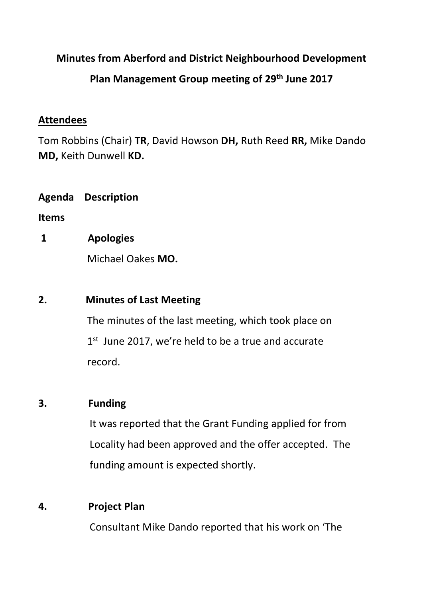## **Minutes from Aberford and District Neighbourhood Development**

# **Plan Management Group meeting of 29th June 2017**

### **Attendees**

Tom Robbins (Chair) **TR**, David Howson **DH,** Ruth Reed **RR,** Mike Dando **MD,** Keith Dunwell **KD.**

**Agenda Description** 

**Items**

**1 Apologies**

Michael Oakes **MO.**

## **2. Minutes of Last Meeting**

The minutes of the last meeting, which took place on  $1<sup>st</sup>$  June 2017, we're held to be a true and accurate record.

# **3. Funding**

It was reported that the Grant Funding applied for from Locality had been approved and the offer accepted. The funding amount is expected shortly.

# **4. Project Plan**

Consultant Mike Dando reported that his work on 'The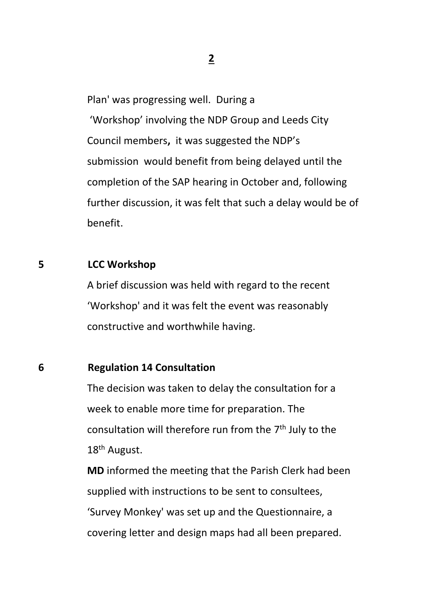Plan' was progressing well. During a

 'Workshop' involving the NDP Group and Leeds City Council members**,** it was suggested the NDP's submission would benefit from being delayed until the completion of the SAP hearing in October and, following further discussion, it was felt that such a delay would be of benefit.

## **5 LCC Workshop**

 A brief discussion was held with regard to the recent 'Workshop' and it was felt the event was reasonably constructive and worthwhile having.

#### **6 Regulation 14 Consultation**

 The decision was taken to delay the consultation for a week to enable more time for preparation. The consultation will therefore run from the 7<sup>th</sup> July to the 18<sup>th</sup> August.

> **MD** informed the meeting that the Parish Clerk had been supplied with instructions to be sent to consultees, 'Survey Monkey' was set up and the Questionnaire, a covering letter and design maps had all been prepared.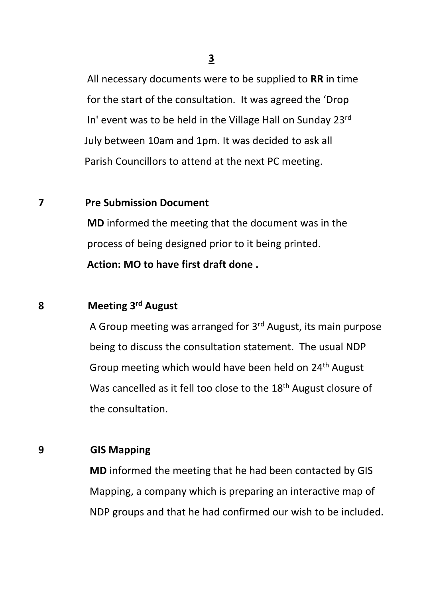**3**

 All necessary documents were to be supplied to **RR** in time for the start of the consultation. It was agreed the 'Drop In' event was to be held in the Village Hall on Sunday 23rd July between 10am and 1pm. It was decided to ask all Parish Councillors to attend at the next PC meeting.

## **7 Pre Submission Document**

 **MD** informed the meeting that the document was in the process of being designed prior to it being printed. **Action: MO to have first draft done .**

# **8 Meeting 3rd August**

 A Group meeting was arranged for 3rd August, its main purpose being to discuss the consultation statement. The usual NDP Group meeting which would have been held on 24<sup>th</sup> August Was cancelled as it fell too close to the 18<sup>th</sup> August closure of the consultation.

# **9 GIS Mapping**

 **MD** informed the meeting that he had been contacted by GIS Mapping, a company which is preparing an interactive map of NDP groups and that he had confirmed our wish to be included.